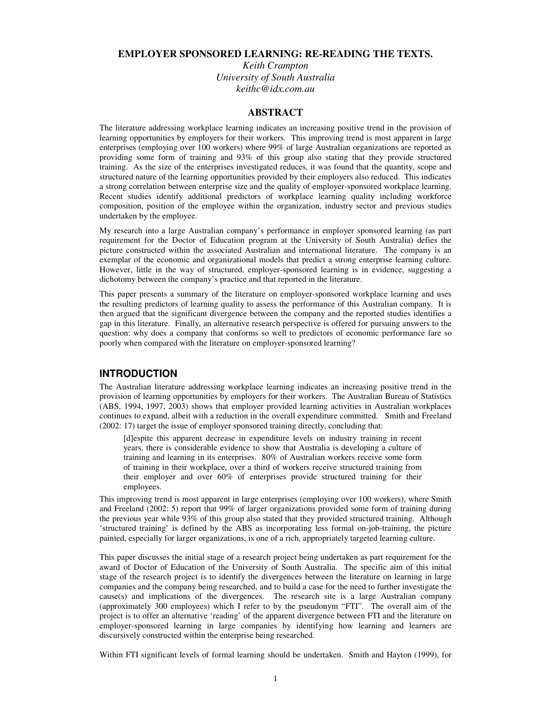# **EMPLOYER SPONSORED LEARNING: RE-READING THE TEXTS.**

*Keith Crampton University of South Australia keithc@idx.com.au*

# **ABSTRACT**

The literature addressing workplace learning indicates an increasing positive trend in the provision of learning opportunities by employers for their workers. This improving trend is most apparent in large enterprises (employing over 100 workers) where 99% of large Australian organizations are reported as providing some form of training and 93% of this group also stating that they provide structured training. As the size of the enterprises investigated reduces, it was found that the quantity, scope and structured nature of the learning opportunities provided by their employers also reduced. This indicates a strong correlation between enterprise size and the quality of employer-sponsored workplace learning. Recent studies identify additional predictors of workplace learning quality including workforce composition, position of the employee within the organization, industry sector and previous studies undertaken by the employee.

My research into a large Australian company's performance in employer sponsored learning (as part requirement for the Doctor of Education program at the University of South Australia) defies the picture constructed within the associated Australian and international literature. The company is an exemplar of the economic and organizational models that predict a strong enterprise learning culture. However, little in the way of structured, employer-sponsored learning is in evidence, suggesting a dichotomy between the company's practice and that reported in the literature.

This paper presents a summary of the literature on employer-sponsored workplace learning and uses the resulting predictors of learning quality to assess the performance of this Australian company. It is then argued that the significant divergence between the company and the reported studies identifies a gap in this literature. Finally, an alternative research perspective is offered for pursuing answers to the question: why does a company that conforms so well to predictors of economic performance fare so poorly when compared with the literature on employer-sponsored learning?

# **INTRODUCTION**

The Australian literature addressing workplace learning indicates an increasing positive trend in the provision of learning opportunities by employers for their workers. The Australian Bureau of Statistics (ABS, 1994, 1997, 2003) shows that employer provided learning activities in Australian workplaces continues to expand, albeit with a reduction in the overall expenditure committed. Smith and Freeland (2002: 17) target the issue of employer sponsored training directly, concluding that:

[d]espite this apparent decrease in expenditure levels on industry training in recent years, there is considerable evidence to show that Australia is developing a culture of training and learning in its enterprises. 80% of Australian workers receive some form of training in their workplace, over a third of workers receive structured training from their employer and over 60% of enterprises provide structured training for their employees.

This improving trend is most apparent in large enterprises (employing over 100 workers), where Smith and Freeland (2002: 5) report that 99% of larger organizations provided some form of training during the previous year while 93% of this group also stated that they provided structured training. Although 'structured training' is defined by the ABS as incorporating less formal on-job-training, the picture painted, especially for larger organizations, is one of a rich, appropriately targeted learning culture.

This paper discusses the initial stage of a research project being undertaken as part requirement for the award of Doctor of Education of the University of South Australia. The specific aim of this initial stage of the research project is to identify the divergences between the literature on learning in large companies and the company being researched, and to build a case for the need to further investigate the  $cause(s)$  and implications of the divergences. The research site is a large Australian company (approximately 300 employees) which I refer to by the pseudonym "FTI". The overall aim of the project is to offer an alternative 'reading' of the apparent divergence between FTI and the literature on employer-sponsored learning in large companies by identifying how learning and learners are discursively constructed within the enterprise being researched.

Within FTI significant levels of formal learning should be undertaken. Smith and Hayton (1999), for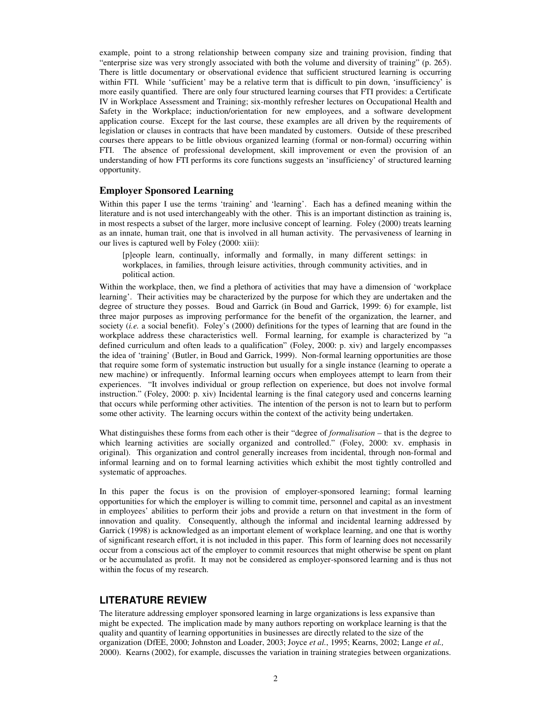example, point to a strong relationship between company size and training provision, finding that "enterprise size was very strongly associated with both the volume and diversity of training" (p. 265). There is little documentary or observational evidence that sufficient structured learning is occurring within FTI. While 'sufficient' may be a relative term that is difficult to pin down, 'insufficiency' is more easily quantified. There are only four structured learning courses that FTI provides: a Certificate IV in Workplace Assessment and Training; six-monthly refresher lectures on Occupational Health and Safety in the Workplace; induction/orientation for new employees, and a software development application course. Except for the last course, these examples are all driven by the requirements of legislation or clauses in contracts that have been mandated by customers. Outside of these prescribed courses there appears to be little obvious organized learning (formal or non-formal) occurring within FTI. The absence of professional development, skill improvement or even the provision of an understanding of how FTI performs its core functions suggests an 'insufficiency' of structured learning opportunity.

# **Employer Sponsored Learning**

Within this paper I use the terms 'training' and 'learning'. Each has a defined meaning within the literature and is not used interchangeably with the other. This is an important distinction as training is, in most respects a subset of the larger, more inclusive concept of learning. Foley (2000) treats learning as an innate, human trait, one that is involved in all human activity. The pervasiveness of learning in our lives is captured well by Foley (2000: xiii):

[p]eople learn, continually, informally and formally, in many different settings: in workplaces, in families, through leisure activities, through community activities, and in political action.

Within the workplace, then, we find a plethora of activities that may have a dimension of 'workplace learning'. Their activities may be characterized by the purpose for which they are undertaken and the degree of structure they posses. Boud and Garrick (in Boud and Garrick, 1999: 6) for example, list three major purposes as improving performance for the benefit of the organization, the learner, and society (*i.e.* a social benefit). Foley's (2000) definitions for the types of learning that are found in the workplace address these characteristics well. Formal learning, for example is characterized by "a defined curriculum and often leads to a qualification" (Foley, 2000: p. xiv) and largely encompasses the idea of 'training' (Butler, in Boud and Garrick, 1999). Non-formal learning opportunities are those that require some form of systematic instruction but usually for a single instance (learning to operate a new machine) or infrequently. Informal learning occurs when employees attempt to learn from their experiences. "It involves individual or group reflection on experience, but does not involve formal instruction." (Foley, 2000: p. xiv) Incidental learning is the final category used and concerns learning that occurs while performing other activities. The intention of the person is not to learn but to perform some other activity. The learning occurs within the context of the activity being undertaken.

What distinguishes these forms from each other is their "degree of *formalisation* – that is the degree to which learning activities are socially organized and controlled." (Foley, 2000: xv. emphasis in original). This organization and control generally increases from incidental, through non-formal and informal learning and on to formal learning activities which exhibit the most tightly controlled and systematic of approaches.

In this paper the focus is on the provision of employer-sponsored learning; formal learning opportunities for which the employer is willing to commit time, personnel and capital as an investment in employees' abilities to perform their jobs and provide a return on that investment in the form of innovation and quality. Consequently, although the informal and incidental learning addressed by Garrick (1998) is acknowledged as an important element of workplace learning, and one that is worthy of significant research effort, it is not included in this paper. This form of learning does not necessarily occur from a conscious act of the employer to commit resources that might otherwise be spent on plant or be accumulated as profit. It may not be considered as employer-sponsored learning and is thus not within the focus of my research.

# **LITERATURE REVIEW**

The literature addressing employer sponsored learning in large organizations is less expansive than might be expected. The implication made by many authors reporting on workplace learning is that the quality and quantity of learning opportunities in businesses are directly related to the size of the organization (DfEE, 2000; Johnston and Loader, 2003; Joyce *et al.*, 1995; Kearns, 2002; Lange *et al.,* 2000). Kearns (2002), for example, discusses the variation in training strategies between organizations.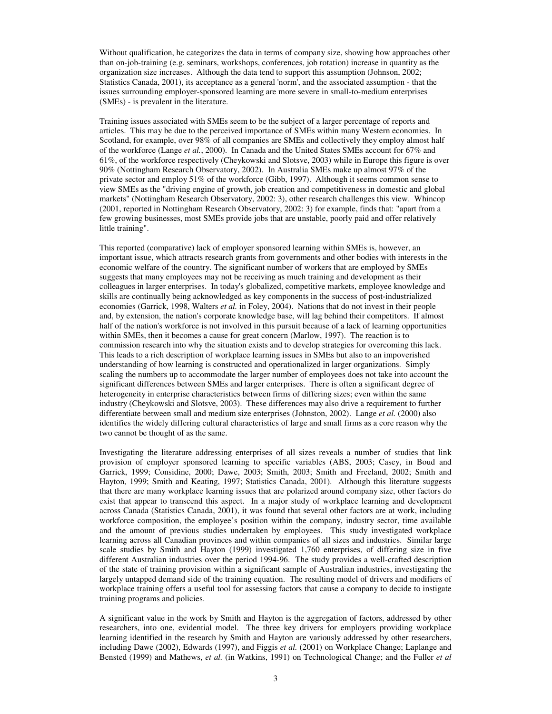Without qualification, he categorizes the data in terms of company size, showing how approaches other than on-job-training (e.g. seminars, workshops, conferences, job rotation) increase in quantity as the organization size increases. Although the data tend to support this assumption (Johnson, 2002; Statistics Canada, 2001), its acceptance as a general 'norm', and the associated assumption - that the issues surrounding employer-sponsored learning are more severe in small-to-medium enterprises (SMEs) - is prevalent in the literature.

Training issues associated with SMEs seem to be the subject of a larger percentage of reports and articles. This may be due to the perceived importance of SMEs within many Western economies. In Scotland, for example, over 98% of all companies are SMEs and collectively they employ almost half of the workforce (Lange *et al.*, 2000). In Canada and the United States SMEs account for 67% and 61%, of the workforce respectively (Cheykowski and Slotsve, 2003) while in Europe this figure is over 90% (Nottingham Research Observatory, 2002). In Australia SMEs make up almost 97% of the private sector and employ 51% of the workforce (Gibb, 1997). Although it seems common sense to view SMEs as the "driving engine of growth, job creation and competitiveness in domestic and global markets" (Nottingham Research Observatory, 2002: 3), other research challenges this view. Whincop (2001, reported in Nottingham Research Observatory, 2002: 3) for example, finds that: "apart from a few growing businesses, most SMEs provide jobs that are unstable, poorly paid and offer relatively little training".

This reported (comparative) lack of employer sponsored learning within SMEs is, however, an important issue, which attracts research grants from governments and other bodies with interests in the economic welfare of the country. The significant number of workers that are employed by SMEs suggests that many employees may not be receiving as much training and development as their colleagues in larger enterprises. In today's globalized, competitive markets, employee knowledge and skills are continually being acknowledged as key components in the success of post-industrialized economies (Garrick, 1998, Walters *et al.* in Foley, 2004). Nations that do not invest in their people and, by extension, the nation's corporate knowledge base, will lag behind their competitors. If almost half of the nation's workforce is not involved in this pursuit because of a lack of learning opportunities within SMEs, then it becomes a cause for great concern (Marlow, 1997). The reaction is to commission research into why the situation exists and to develop strategies for overcoming this lack. This leads to a rich description of workplace learning issues in SMEs but also to an impoverished understanding of how learning is constructed and operationalized in larger organizations. Simply scaling the numbers up to accommodate the larger number of employees does not take into account the significant differences between SMEs and larger enterprises. There is often a significant degree of heterogeneity in enterprise characteristics between firms of differing sizes; even within the same industry (Cheykowski and Slotsve, 2003). These differences may also drive a requirement to further differentiate between small and medium size enterprises (Johnston, 2002). Lange *et al.* (2000) also identifies the widely differing cultural characteristics of large and small firms as a core reason why the two cannot be thought of as the same.

Investigating the literature addressing enterprises of all sizes reveals a number of studies that link provision of employer sponsored learning to specific variables (ABS, 2003; Casey, in Boud and Garrick, 1999; Considine, 2000; Dawe, 2003; Smith, 2003; Smith and Freeland, 2002; Smith and Hayton, 1999; Smith and Keating, 1997; Statistics Canada, 2001). Although this literature suggests that there are many workplace learning issues that are polarized around company size, other factors do exist that appear to transcend this aspect. In a major study of workplace learning and development across Canada (Statistics Canada, 2001), it was found that several other factors are at work, including workforce composition, the employee's position within the company, industry sector, time available and the amount of previous studies undertaken by employees. This study investigated workplace learning across all Canadian provinces and within companies of all sizes and industries. Similar large scale studies by Smith and Hayton (1999) investigated 1,760 enterprises, of differing size in five different Australian industries over the period 1994-96. The study provides a well-crafted description of the state of training provision within a significant sample of Australian industries, investigating the largely untapped demand side of the training equation. The resulting model of drivers and modifiers of workplace training offers a useful tool for assessing factors that cause a company to decide to instigate training programs and policies.

A significant value in the work by Smith and Hayton is the aggregation of factors, addressed by other researchers, into one, evidential model. The three key drivers for employers providing workplace learning identified in the research by Smith and Hayton are variously addressed by other researchers, including Dawe (2002), Edwards (1997), and Figgis *et al.* (2001) on Workplace Change; Laplange and Bensted (1999) and Mathews, *et al.* (in Watkins, 1991) on Technological Change; and the Fuller *et al*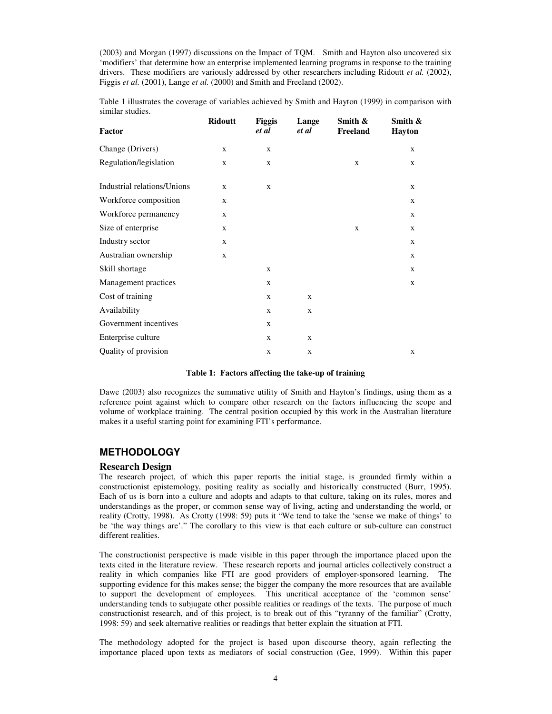(2003) and Morgan (1997) discussions on the Impact of TQM. Smith and Hayton also uncovered six 'modifiers' that determine how an enterprise implemented learning programs in response to the training drivers. These modifiers are variously addressed by other researchers including Ridoutt *et al.* (2002), Figgis *et al.* (2001), Lange *et al.* (2000) and Smith and Freeland (2002).

Table 1 illustrates the coverage of variables achieved by Smith and Hayton (1999) in comparison with similar studies.

| Factor                      | <b>Ridoutt</b> | <b>Figgis</b><br>et al | Lange<br>et al | Smith $\&$<br>Freeland | Smith $\&$<br><b>Hayton</b> |
|-----------------------------|----------------|------------------------|----------------|------------------------|-----------------------------|
| Change (Drivers)            | $\mathbf x$    | X                      |                |                        | X                           |
| Regulation/legislation      | $\mathbf x$    | X                      |                | X                      | X                           |
| Industrial relations/Unions | $\mathbf x$    | X                      |                |                        | X                           |
| Workforce composition       | $\mathbf x$    |                        |                |                        | X                           |
| Workforce permanency        | X              |                        |                |                        | X                           |
| Size of enterprise          | $\mathbf x$    |                        |                | X                      | X                           |
| Industry sector             | $\mathbf x$    |                        |                |                        | X                           |
| Australian ownership        | $\mathbf x$    |                        |                |                        | $\mathbf x$                 |
| Skill shortage              |                | X                      |                |                        | X                           |
| Management practices        |                | X                      |                |                        | X                           |
| Cost of training            |                | X                      | X              |                        |                             |
| Availability                |                | X                      | X              |                        |                             |
| Government incentives       |                | X                      |                |                        |                             |
| Enterprise culture          |                | X                      | $\mathbf{X}$   |                        |                             |
| Quality of provision        |                | $\mathbf X$            | $\mathbf x$    |                        | $\mathbf X$                 |

### **Table 1: Factors affecting the take-up of training**

Dawe (2003) also recognizes the summative utility of Smith and Hayton's findings, using them as a reference point against which to compare other research on the factors influencing the scope and volume of workplace training. The central position occupied by this work in the Australian literature makes it a useful starting point for examining FTI's performance.

# **METHODOLOGY**

## **Research Design**

The research project, of which this paper reports the initial stage, is grounded firmly within a constructionist epistemology, positing reality as socially and historically constructed (Burr, 1995). Each of us is born into a culture and adopts and adapts to that culture, taking on its rules, mores and understandings as the proper, or common sense way of living, acting and understanding the world, or reality (Crotty, 1998). As Crotty (1998: 59) puts it "We tend to take the 'sense we make of things' to be 'the way things are'." The corollary to this view is that each culture or sub-culture can construct different realities.

The constructionist perspective is made visible in this paper through the importance placed upon the texts cited in the literature review. These research reports and journal articles collectively construct a reality in which companies like FTI are good providers of employer-sponsored learning. The supporting evidence for this makes sense; the bigger the company the more resources that are available to support the development of employees. This uncritical acceptance of the 'common sense' understanding tends to subjugate other possible realities or readings of the texts. The purpose of much constructionist research, and of this project, is to break out of this "tyranny of the familiar" (Crotty, 1998: 59) and seek alternative realities or readings that better explain the situation at FTI.

The methodology adopted for the project is based upon discourse theory, again reflecting the importance placed upon texts as mediators of social construction (Gee, 1999). Within this paper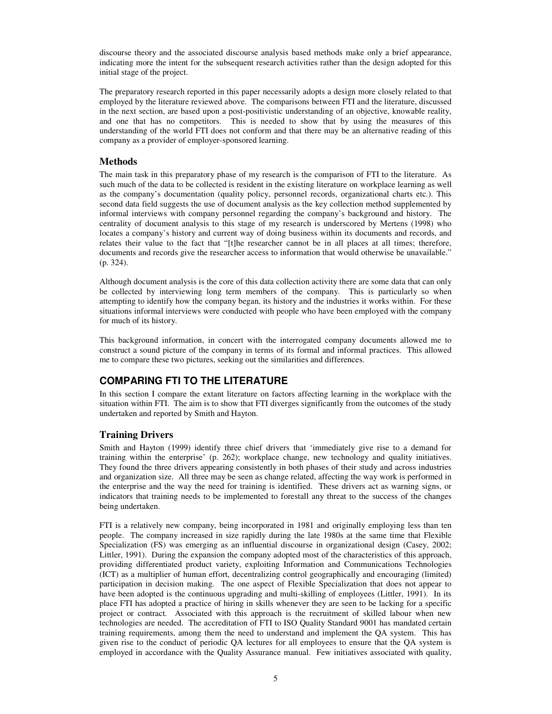discourse theory and the associated discourse analysis based methods make only a brief appearance, indicating more the intent for the subsequent research activities rather than the design adopted for this initial stage of the project.

The preparatory research reported in this paper necessarily adopts a design more closely related to that employed by the literature reviewed above. The comparisons between FTI and the literature, discussed in the next section, are based upon a post-positivistic understanding of an objective, knowable reality, and one that has no competitors. This is needed to show that by using the measures of this understanding of the world FTI does not conform and that there may be an alternative reading of this company as a provider of employer-sponsored learning.

# **Methods**

The main task in this preparatory phase of my research is the comparison of FTI to the literature. As such much of the data to be collected is resident in the existing literature on workplace learning as well as the company's documentation (quality policy, personnel records, organizational charts etc.). This second data field suggests the use of document analysis as the key collection method supplemented by informal interviews with company personnel regarding the company's background and history. The centrality of document analysis to this stage of my research is underscored by Mertens (1998) who locates a company's history and current way of doing business within its documents and records, and relates their value to the fact that "[t]he researcher cannot be in all places at all times; therefore, documents and records give the researcher access to information that would otherwise be unavailable." (p. 324).

Although document analysis is the core of this data collection activity there are some data that can only be collected by interviewing long term members of the company. This is particularly so when attempting to identify how the company began, its history and the industries it works within. For these situations informal interviews were conducted with people who have been employed with the company for much of its history.

This background information, in concert with the interrogated company documents allowed me to construct a sound picture of the company in terms of its formal and informal practices. This allowed me to compare these two pictures, seeking out the similarities and differences.

# **COMPARING FTI TO THE LITERATURE**

In this section I compare the extant literature on factors affecting learning in the workplace with the situation within FTI. The aim is to show that FTI diverges significantly from the outcomes of the study undertaken and reported by Smith and Hayton.

# **Training Drivers**

Smith and Hayton (1999) identify three chief drivers that 'immediately give rise to a demand for training within the enterprise' (p. 262); workplace change, new technology and quality initiatives. They found the three drivers appearing consistently in both phases of their study and across industries and organization size. All three may be seen as change related, affecting the way work is performed in the enterprise and the way the need for training is identified. These drivers act as warning signs, or indicators that training needs to be implemented to forestall any threat to the success of the changes being undertaken.

FTI is a relatively new company, being incorporated in 1981 and originally employing less than ten people. The company increased in size rapidly during the late 1980s at the same time that Flexible Specialization (FS) was emerging as an influential discourse in organizational design (Casey, 2002; Littler, 1991). During the expansion the company adopted most of the characteristics of this approach, providing differentiated product variety, exploiting Information and Communications Technologies (ICT) as a multiplier of human effort, decentralizing control geographically and encouraging (limited) participation in decision making. The one aspect of Flexible Specialization that does not appear to have been adopted is the continuous upgrading and multi-skilling of employees (Littler, 1991). In its place FTI has adopted a practice of hiring in skills whenever they are seen to be lacking for a specific project or contract. Associated with this approach is the recruitment of skilled labour when new technologies are needed. The accreditation of FTI to ISO Quality Standard 9001 has mandated certain training requirements, among them the need to understand and implement the QA system. This has given rise to the conduct of periodic QA lectures for all employees to ensure that the QA system is employed in accordance with the Quality Assurance manual. Few initiatives associated with quality,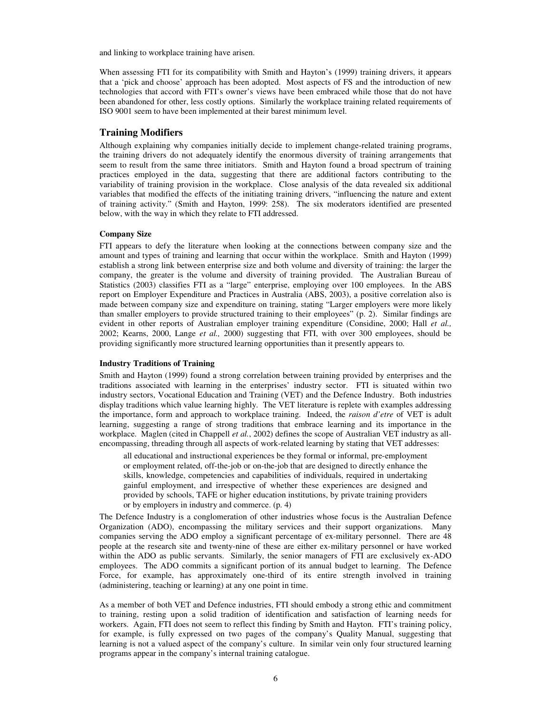and linking to workplace training have arisen.

When assessing FTI for its compatibility with Smith and Hayton's (1999) training drivers, it appears that a 'pick and choose' approach has been adopted. Most aspects of FS and the introduction of new technologies that accord with FTI's owner's views have been embraced while those that do not have been abandoned for other, less costly options. Similarly the workplace training related requirements of ISO 9001 seem to have been implemented at their barest minimum level.

## **Training Modifiers**

Although explaining why companies initially decide to implement change-related training programs, the training drivers do not adequately identify the enormous diversity of training arrangements that seem to result from the same three initiators. Smith and Hayton found a broad spectrum of training practices employed in the data, suggesting that there are additional factors contributing to the variability of training provision in the workplace. Close analysis of the data revealed six additional variables that modified the effects of the initiating training drivers, "influencing the nature and extent of training activity." (Smith and Hayton, 1999: 258). The six moderators identified are presented below, with the way in which they relate to FTI addressed.

## **Company Size**

FTI appears to defy the literature when looking at the connections between company size and the amount and types of training and learning that occur within the workplace. Smith and Hayton (1999) establish a strong link between enterprise size and both volume and diversity of training: the larger the company, the greater is the volume and diversity of training provided. The Australian Bureau of Statistics (2003) classifies FTI as a "large" enterprise, employing over 100 employees. In the ABS report on Employer Expenditure and Practices in Australia (ABS, 2003), a positive correlation also is made between company size and expenditure on training, stating "Larger employers were more likely than smaller employers to provide structured training to their employees" (p. 2). Similar findings are evident in other reports of Australian employer training expenditure (Considine, 2000; Hall *et al.,* 2002; Kearns, 2000, Lange *et al.,* 2000) suggesting that FTI, with over 300 employees, should be providing significantly more structured learning opportunities than it presently appears to.

#### **Industry Traditions of Training**

Smith and Hayton (1999) found a strong correlation between training provided by enterprises and the traditions associated with learning in the enterprises' industry sector. FTI is situated within two industry sectors, Vocational Education and Training (VET) and the Defence Industry. Both industries display traditions which value learning highly. The VET literature is replete with examples addressing the importance, form and approach to workplace training. Indeed, the *raison d'etre* of VET is adult learning, suggesting a range of strong traditions that embrace learning and its importance in the workplace. Maglen (cited in Chappell *et al.*, 2002) defines the scope of Australian VET industry as allencompassing, threading through all aspects of work-related learning by stating that VET addresses:

all educational and instructional experiences be they formal or informal, pre-employment or employment related, off-the-job or on-the-job that are designed to directly enhance the skills, knowledge, competencies and capabilities of individuals, required in undertaking gainful employment, and irrespective of whether these experiences are designed and provided by schools, TAFE or higher education institutions, by private training providers or by employers in industry and commerce. (p. 4)

The Defence Industry is a conglomeration of other industries whose focus is the Australian Defence Organization (ADO), encompassing the military services and their support organizations. Many companies serving the ADO employ a significant percentage of ex-military personnel. There are 48 people at the research site and twenty-nine of these are either ex-military personnel or have worked within the ADO as public servants. Similarly, the senior managers of FTI are exclusively ex-ADO employees. The ADO commits a significant portion of its annual budget to learning. The Defence Force, for example, has approximately one-third of its entire strength involved in training (administering, teaching or learning) at any one point in time.

As a member of both VET and Defence industries, FTI should embody a strong ethic and commitment to training, resting upon a solid tradition of identification and satisfaction of learning needs for workers. Again, FTI does not seem to reflect this finding by Smith and Hayton. FTI's training policy, for example, is fully expressed on two pages of the company's Quality Manual, suggesting that learning is not a valued aspect of the company's culture. In similar vein only four structured learning programs appear in the company's internal training catalogue.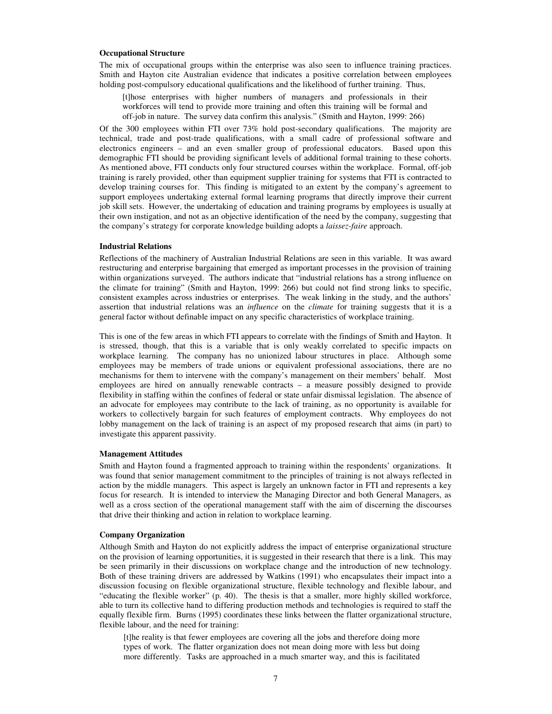### **Occupational Structure**

The mix of occupational groups within the enterprise was also seen to influence training practices. Smith and Hayton cite Australian evidence that indicates a positive correlation between employees holding post-compulsory educational qualifications and the likelihood of further training. Thus,

[t]hose enterprises with higher numbers of managers and professionals in their workforces will tend to provide more training and often this training will be formal and off-job in nature. The survey data confirm this analysis." (Smith and Hayton, 1999: 266)

Of the 300 employees within FTI over 73% hold post-secondary qualifications. The majority are technical, trade and post-trade qualifications, with a small cadre of professional software and electronics engineers – and an even smaller group of professional educators. Based upon this demographic FTI should be providing significant levels of additional formal training to these cohorts. As mentioned above, FTI conducts only four structured courses within the workplace. Formal, off-job training is rarely provided, other than equipment supplier training for systems that FTI is contracted to develop training courses for. This finding is mitigated to an extent by the company's agreement to support employees undertaking external formal learning programs that directly improve their current job skill sets. However, the undertaking of education and training programs by employees is usually at their own instigation, and not as an objective identification of the need by the company, suggesting that the company's strategy for corporate knowledge building adopts a *laissez-faire* approach.

#### **Industrial Relations**

Reflections of the machinery of Australian Industrial Relations are seen in this variable. It was award restructuring and enterprise bargaining that emerged as important processes in the provision of training within organizations surveyed. The authors indicate that "industrial relations has a strong influence on the climate for training" (Smith and Hayton, 1999: 266) but could not find strong links to specific, consistent examples across industries or enterprises. The weak linking in the study, and the authors' assertion that industrial relations was an *influence* on the *climate* for training suggests that it is a general factor without definable impact on any specific characteristics of workplace training.

This is one of the few areas in which FTI appears to correlate with the findings of Smith and Hayton. It is stressed, though, that this is a variable that is only weakly correlated to specific impacts on workplace learning. The company has no unionized labour structures in place. Although some employees may be members of trade unions or equivalent professional associations, there are no mechanisms for them to intervene with the company's management on their members' behalf. Most employees are hired on annually renewable contracts – a measure possibly designed to provide flexibility in staffing within the confines of federal or state unfair dismissal legislation. The absence of an advocate for employees may contribute to the lack of training, as no opportunity is available for workers to collectively bargain for such features of employment contracts. Why employees do not lobby management on the lack of training is an aspect of my proposed research that aims (in part) to investigate this apparent passivity.

#### **Management Attitudes**

Smith and Hayton found a fragmented approach to training within the respondents' organizations. It was found that senior management commitment to the principles of training is not always reflected in action by the middle managers. This aspect is largely an unknown factor in FTI and represents a key focus for research. It is intended to interview the Managing Director and both General Managers, as well as a cross section of the operational management staff with the aim of discerning the discourses that drive their thinking and action in relation to workplace learning.

#### **Company Organization**

Although Smith and Hayton do not explicitly address the impact of enterprise organizational structure on the provision of learning opportunities, it is suggested in their research that there is a link. This may be seen primarily in their discussions on workplace change and the introduction of new technology. Both of these training drivers are addressed by Watkins (1991) who encapsulates their impact into a discussion focusing on flexible organizational structure, flexible technology and flexible labour, and "educating the flexible worker" (p. 40). The thesis is that a smaller, more highly skilled workforce, able to turn its collective hand to differing production methods and technologies is required to staff the equally flexible firm. Burns (1995) coordinates these links between the flatter organizational structure, flexible labour, and the need for training:

[t]he reality is that fewer employees are covering all the jobs and therefore doing more types of work. The flatter organization does not mean doing more with less but doing more differently. Tasks are approached in a much smarter way, and this is facilitated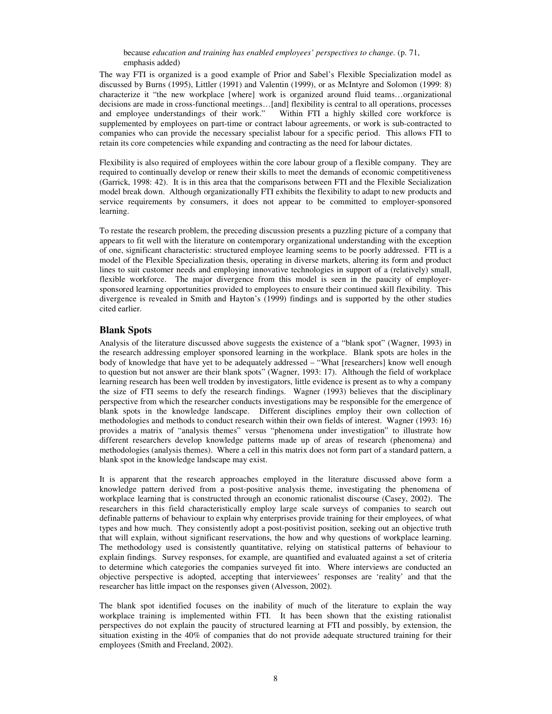### because *education and training has enabled employees' perspectives to change.* (p. 71, emphasis added)

The way FTI is organized is a good example of Prior and Sabel's Flexible Specialization model as discussed by Burns (1995), Littler (1991) and Valentin (1999), or as McIntyre and Solomon (1999: 8) characterize it "the new workplace [where] work is organized around fluid teams…organizational decisions are made in cross-functional meetings…[and] flexibility is central to all operations, processes and employee understandings of their work." Within FTI a highly skilled core workforce is supplemented by employees on part-time or contract labour agreements, or work is sub-contracted to companies who can provide the necessary specialist labour for a specific period. This allows FTI to retain its core competencies while expanding and contracting as the need for labour dictates.

Flexibility is also required of employees within the core labour group of a flexible company. They are required to continually develop or renew their skills to meet the demands of economic competitiveness (Garrick, 1998: 42). It is in this area that the comparisons between FTI and the Flexible Secialization model break down. Although organizationally FTI exhibits the flexibility to adapt to new products and service requirements by consumers, it does not appear to be committed to employer-sponsored learning.

To restate the research problem, the preceding discussion presents a puzzling picture of a company that appears to fit well with the literature on contemporary organizational understanding with the exception of one, significant characteristic: structured employee learning seems to be poorly addressed. FTI is a model of the Flexible Specialization thesis, operating in diverse markets, altering its form and product lines to suit customer needs and employing innovative technologies in support of a (relatively) small, flexible workforce. The major divergence from this model is seen in the paucity of employersponsored learning opportunities provided to employees to ensure their continued skill flexibility. This divergence is revealed in Smith and Hayton's (1999) findings and is supported by the other studies cited earlier.

# **Blank Spots**

Analysis of the literature discussed above suggests the existence of a "blank spot" (Wagner, 1993) in the research addressing employer sponsored learning in the workplace. Blank spots are holes in the body of knowledge that have yet to be adequately addressed – "What [researchers] know well enough to question but not answer are their blank spots" (Wagner, 1993: 17). Although the field of workplace learning research has been well trodden by investigators, little evidence is present as to why a company the size of FTI seems to defy the research findings. Wagner (1993) believes that the disciplinary perspective from which the researcher conducts investigations may be responsible for the emergence of blank spots in the knowledge landscape. Different disciplines employ their own collection of methodologies and methods to conduct research within their own fields of interest. Wagner (1993: 16) provides a matrix of "analysis themes" versus "phenomena under investigation" to illustrate how different researchers develop knowledge patterns made up of areas of research (phenomena) and methodologies (analysis themes). Where a cell in this matrix does not form part of a standard pattern, a blank spot in the knowledge landscape may exist.

It is apparent that the research approaches employed in the literature discussed above form a knowledge pattern derived from a post-positive analysis theme, investigating the phenomena of workplace learning that is constructed through an economic rationalist discourse (Casey, 2002). The researchers in this field characteristically employ large scale surveys of companies to search out definable patterns of behaviour to explain why enterprises provide training for their employees, of what types and how much. They consistently adopt a post-positivist position, seeking out an objective truth that will explain, without significant reservations, the how and why questions of workplace learning. The methodology used is consistently quantitative, relying on statistical patterns of behaviour to explain findings. Survey responses, for example, are quantified and evaluated against a set of criteria to determine which categories the companies surveyed fit into. Where interviews are conducted an objective perspective is adopted, accepting that interviewees' responses are 'reality' and that the researcher has little impact on the responses given (Alvesson, 2002).

The blank spot identified focuses on the inability of much of the literature to explain the way workplace training is implemented within FTI. It has been shown that the existing rationalist perspectives do not explain the paucity of structured learning at FTI and possibly, by extension, the situation existing in the 40% of companies that do not provide adequate structured training for their employees (Smith and Freeland, 2002).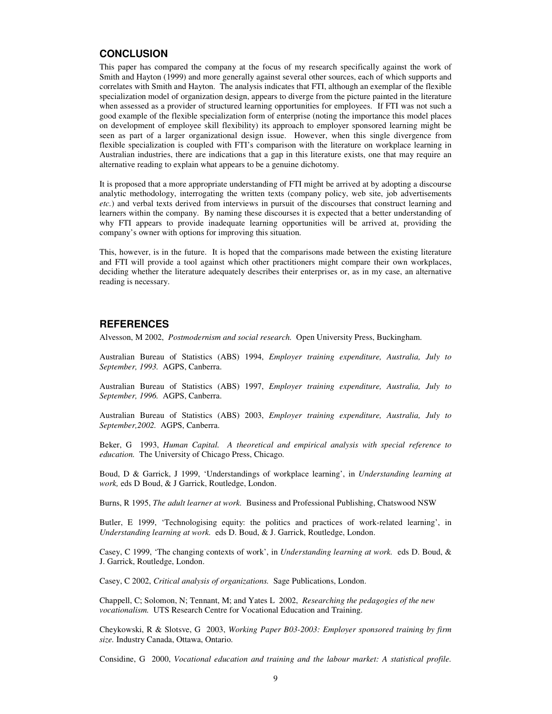# **CONCLUSION**

This paper has compared the company at the focus of my research specifically against the work of Smith and Hayton (1999) and more generally against several other sources, each of which supports and correlates with Smith and Hayton. The analysis indicates that FTI, although an exemplar of the flexible specialization model of organization design, appears to diverge from the picture painted in the literature when assessed as a provider of structured learning opportunities for employees. If FTI was not such a good example of the flexible specialization form of enterprise (noting the importance this model places on development of employee skill flexibility) its approach to employer sponsored learning might be seen as part of a larger organizational design issue. However, when this single divergence from flexible specialization is coupled with FTI's comparison with the literature on workplace learning in Australian industries, there are indications that a gap in this literature exists, one that may require an alternative reading to explain what appears to be a genuine dichotomy.

It is proposed that a more appropriate understanding of FTI might be arrived at by adopting a discourse analytic methodology, interrogating the written texts (company policy, web site, job advertisements *etc.*) and verbal texts derived from interviews in pursuit of the discourses that construct learning and learners within the company. By naming these discourses it is expected that a better understanding of why FTI appears to provide inadequate learning opportunities will be arrived at, providing the company's owner with options for improving this situation.

This, however, is in the future. It is hoped that the comparisons made between the existing literature and FTI will provide a tool against which other practitioners might compare their own workplaces, deciding whether the literature adequately describes their enterprises or, as in my case, an alternative reading is necessary.

# **REFERENCES**

Alvesson, M 2002, *Postmodernism and social research.* Open University Press, Buckingham.

Australian Bureau of Statistics (ABS) 1994, *Employer training expenditure, Australia, July to September, 1993.* AGPS, Canberra.

Australian Bureau of Statistics (ABS) 1997, *Employer training expenditure, Australia, July to September, 1996.* AGPS, Canberra.

Australian Bureau of Statistics (ABS) 2003, *Employer training expenditure, Australia, July to September,2002.* AGPS, Canberra.

Beker, G 1993, *Human Capital. A theoretical and empirical analysis with special reference to education.* The University of Chicago Press, Chicago.

Boud, D & Garrick, J 1999, 'Understandings of workplace learning', in *Understanding learning at work,* eds D Boud, & J Garrick, Routledge, London.

Burns, R 1995, *The adult learner at work.* Business and Professional Publishing, Chatswood NSW

Butler, E 1999, 'Technologising equity: the politics and practices of work-related learning', in *Understanding learning at work.* eds D. Boud, & J. Garrick, Routledge, London.

Casey, C 1999, 'The changing contexts of work', in *Understanding learning at work.* eds D. Boud, & J. Garrick, Routledge, London.

Casey, C 2002, *Critical analysis of organizations.* Sage Publications, London.

Chappell, C; Solomon, N; Tennant, M; and Yates L 2002, *Researching the pedagogies of the new vocationalism.* UTS Research Centre for Vocational Education and Training.

Cheykowski, R & Slotsve, G 2003, *Working Paper B03-2003: Employer sponsored training by firm size.* Industry Canada, Ottawa, Ontario.

Considine, G 2000, *Vocational education and training and the labour market: A statistical profile.*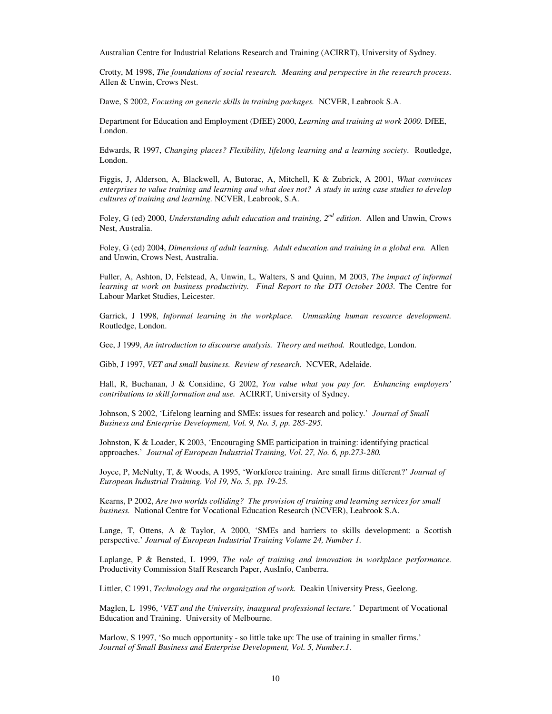Australian Centre for Industrial Relations Research and Training (ACIRRT), University of Sydney.

Crotty, M 1998, *The foundations of social research. Meaning and perspective in the research process.* Allen & Unwin, Crows Nest.

Dawe, S 2002, *Focusing on generic skills in training packages.* NCVER, Leabrook S.A.

Department for Education and Employment (DfEE) 2000, *Learning and training at work 2000.* DfEE, London.

Edwards, R 1997, *Changing places? Flexibility, lifelong learning and a learning society*. Routledge, London.

Figgis, J, Alderson, A, Blackwell, A, Butorac, A, Mitchell, K & Zubrick, A 2001, *What convinces* enterprises to value training and learning and what does not? A study in using case studies to develop *cultures of training and learning.* NCVER, Leabrook, S.A.

Foley, G (ed) 2000, *Understanding adult education and training, 2 nd edition.* Allen and Unwin, Crows Nest, Australia.

Foley, G (ed) 2004, *Dimensions of adult learning. Adult education and training in a global era.* Allen and Unwin, Crows Nest, Australia.

Fuller, A, Ashton, D, Felstead, A, Unwin, L, Walters, S and Quinn, M 2003, *The impact of informal learning at work on business productivity. Final Report to the DTI October 2003.* The Centre for Labour Market Studies, Leicester.

Garrick, J 1998, *Informal learning in the workplace. Unmasking human resource development.* Routledge, London.

Gee, J 1999, *An introduction to discourse analysis. Theory and method.* Routledge, London.

Gibb, J 1997, *VET and small business. Review of research.* NCVER, Adelaide.

Hall, R, Buchanan, J & Considine, G 2002, *You value what you pay for. Enhancing employers' contributions to skill formation and use.* ACIRRT, University of Sydney.

Johnson, S 2002, 'Lifelong learning and SMEs: issues for research and policy.' *Journal of Small Business and Enterprise Development, Vol. 9, No. 3, pp. 285-295.*

Johnston, K & Loader, K 2003, 'Encouraging SME participation in training: identifying practical approaches.' *Journal of European Industrial Training, Vol. 27, No. 6, pp.273-280.*

Joyce, P, McNulty, T, & Woods, A 1995, 'Workforce training. Are small firms different?' *Journal of European Industrial Training. Vol 19, No. 5, pp. 19-25.*

Kearns, P 2002, *Are two worlds colliding? The provision of training and learning services for small business.* National Centre for Vocational Education Research (NCVER), Leabrook S.A.

Lange, T, Ottens, A & Taylor, A 2000, 'SMEs and barriers to skills development: a Scottish perspective.' *Journal of European Industrial Training Volume 24, Number 1.*

Laplange, P & Bensted, L 1999, *The role of training and innovation in workplace performance.* Productivity Commission Staff Research Paper, AusInfo, Canberra.

Littler, C 1991, *Technology and the organization of work.* Deakin University Press, Geelong.

Maglen, L 1996, '*VET and the University, inaugural professional lecture.'* Department of Vocational Education and Training. University of Melbourne.

Marlow, S 1997, 'So much opportunity - so little take up: The use of training in smaller firms.' *Journal of Small Business and Enterprise Development, Vol. 5, Number.1.*